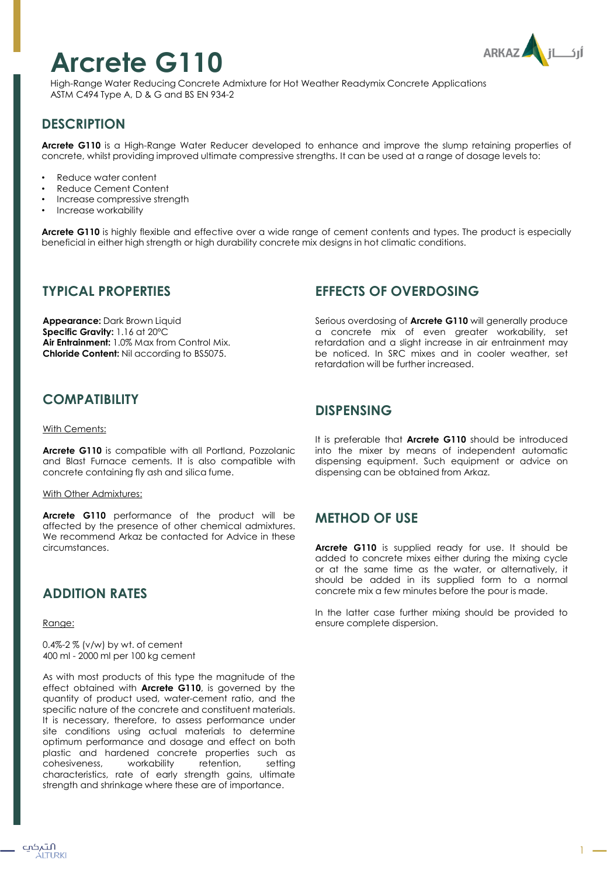# **Arcrete G110**



High-Range Water Reducing Concrete Admixture for Hot Weather Readymix Concrete Applications ASTM C494 Type A, D & G and BS EN 934-2

# **DESCRIPTION**

**Arcrete G110** is a High-Range Water Reducer developed to enhance and improve the slump retaining properties of concrete, whilst providing improved ultimate compressive strengths. It can be used at a range of dosage levels to:

- Reduce water content
- Reduce Cement Content
- Increase compressive strength
- Increase workability

**Arcrete G110** is highly flexible and effective over a wide range of cement contents and types. The product is especially beneficial in either high strength or high durability concrete mix designs in hot climatic conditions.

#### **TYPICAL PROPERTIES**

**Appearance:** Dark Brown Liquid **Specific Gravity:** 1.16 at 20ºC **Air Entrainment:** 1.0% Max from Control Mix. **Chloride Content:** Nil according to BS5075.

## **COMPATIBILITY**

#### With Cements:

**Arcrete G110** is compatible with all Portland, Pozzolanic and Blast Furnace cements. It is also compatible with concrete containing fly ash and silica fume.

#### With Other Admixtures:

**Arcrete G110** performance of the product will be affected by the presence of other chemical admixtures. We recommend Arkaz be contacted for Advice in these circumstances.

## **ADDITION RATES**

Range:

0.4%-2 % (v/w) by wt. of cement 400 ml - 2000 ml per 100 kg cement

As with most products of this type the magnitude of the effect obtained with **Arcrete G110**, is governed by the quantity of product used, water-cement ratio, and the specific nature of the concrete and constituent materials. It is necessary, therefore, to assess performance under site conditions using actual materials to determine optimum performance and dosage and effect on both plastic and hardened concrete properties such as cohesiveness, workability retention, setting characteristics, rate of early strength gains, ultimate strength and shrinkage where these are of importance.

## **EFFECTS OF OVERDOSING**

Serious overdosing of **Arcrete G110** will generally produce a concrete mix of even greater workability, set retardation and a slight increase in air entrainment may be noticed. In SRC mixes and in cooler weather, set retardation will be further increased.

#### **DISPENSING**

It is preferable that **Arcrete G110** should be introduced into the mixer by means of independent automatic dispensing equipment. Such equipment or advice on dispensing can be obtained from Arkaz.

## **METHOD OF USE**

**Arcrete G110** is supplied ready for use. It should be added to concrete mixes either during the mixing cycle or at the same time as the water, or alternatively, it should be added in its supplied form to a normal concrete mix a few minutes before the pour is made.

In the latter case further mixing should be provided to ensure complete dispersion.

1